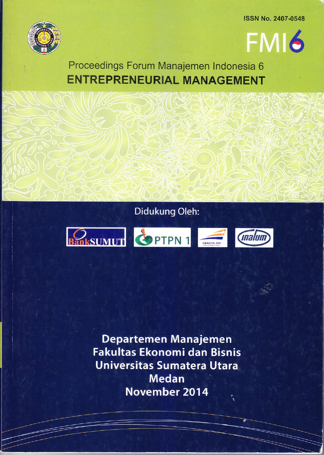ISSN No. 2407 -0548





Proceedings Forum Manajemen lndonesia 6 ENTREPRENEURIAL MANAGEMENT

# Didukung Oleh:



Departemen Manajemen Fakultas Ekonomi dan Bisnis Universitas Sumatera Utara **Medan November 2014**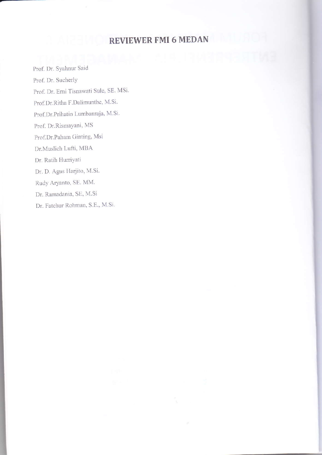# REVIEWER FMI 6 MEDAN

Prof. Dr. Syahnur Said Prof. Dr. SucherlY Prof. Dr. Erni Tisnawati Sule, SE. MSi. Prof.Dr.Ritha F.Dalimunthe, M.Si. Prof.Dr.Prihatin Lumbanraja, M.Si. Prof. Dr.Rismayani, MS Prof.Dr.Paham Ginting, Msi Dr.Muslich Lufti, MBA Dr. Ratih Hurriyati Dr. D. Agus Harjito, M.Si. Rudy Aryanto, SE. MM Dr. Ramadania, SE, M.Si Dr. Fatchur Rohman, S.E., M.Si.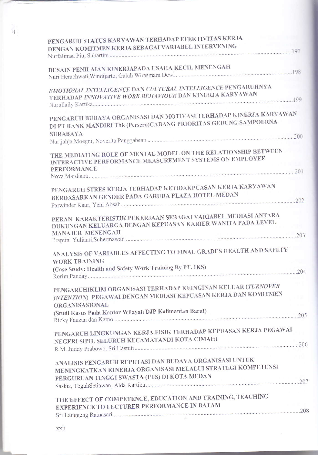| PENGARUH STATUS KARYAWAN TERHADAP EFEKTIVITAS KERJA                                                                       |  |
|---------------------------------------------------------------------------------------------------------------------------|--|
| DENGAN KOMITMEN KERJA SEBAGAI VARIABEL INTERVENING                                                                        |  |
|                                                                                                                           |  |
| DESAIN PENILAIAN KINERJAPADA USAHA KECIL MENENGAH                                                                         |  |
|                                                                                                                           |  |
|                                                                                                                           |  |
| EMOTIONAL INTELLIGENCE DAN CULTURAL INTELLIGENCE PENGARUHNYA                                                              |  |
| TERHADAP INNOVATIVE WORK BEHAVIOUR DAN KINERJA KARYAWAN                                                                   |  |
|                                                                                                                           |  |
| PENGARUH BUDAYA ORGANISASI DAN MOTIVASI TERHADAP KINERJA KARYAWAN                                                         |  |
| DI PT BANK MANDIRI Tbk (Persero)CABANG PRIORITAS GEDUNG SAMPOERNA                                                         |  |
| <b>SURABAYA</b>                                                                                                           |  |
|                                                                                                                           |  |
| THE MEDIATING ROLE OF MENTAL MODEL ON THE RELATIONSHIP BETWEEN<br>INTERACTIVE PERFORMANCE MEASUREMENT SYSTEMS ON EMPLOYEE |  |
| <b>PERFORMANCE</b>                                                                                                        |  |
|                                                                                                                           |  |
| PENGARUH STRES KERJA TERHADAP KETIDAKPUASAN KERJA KARYAWAN                                                                |  |
| BERDASARKAN GENDER PADA GARUDA PLAZA HOTEL MEDAN                                                                          |  |
|                                                                                                                           |  |
|                                                                                                                           |  |
| PERAN KARAKTERISTIK PEKERJAAN SEBAGAI VARIABEL MEDIASI ANTARA                                                             |  |
| DUKUNGAN KELUARGA DENGAN KEPUASAN KARIER WANITA PADA LEVEL                                                                |  |
| <b>MANAJER MENENGAH</b>                                                                                                   |  |
|                                                                                                                           |  |
| ANALYSIS OF VARIABLES AFFECTING TO FINAL GRADES HEALTH AND SAFETY                                                         |  |
| <b>WORK TRAINING</b>                                                                                                      |  |
| (Case Study: Health and Safety Work Training By PT. IKS)                                                                  |  |
|                                                                                                                           |  |
| PENGARUHIKLIM ORGANISASI TERHADAP KEINGINAN KELUAR (TURNOVER                                                              |  |
| INTENTION) PEGAWAI DENGAN MEDIASI KEPUASAN KERJA DAN KOMITMEN                                                             |  |
| <b>ORGANISASIONAL</b>                                                                                                     |  |
| (Studi Kasus Pada Kantor Wilayah DJP Kalimantan Barat)                                                                    |  |
|                                                                                                                           |  |
|                                                                                                                           |  |
| PENGARUH LINGKUNGAN KERJA FISIK TERHADAP KEPUASAN KERJA PEGAWAI                                                           |  |
| NEGERI SIPIL SELURUH KECAMATANDI KOTA CIMAHI                                                                              |  |
|                                                                                                                           |  |
| ANALISIS PENGARUH REPUTASI DAN BUDAYA ORGANISASI UNTUK                                                                    |  |
| MENINGKATKAN KINERJA ORGANISASI MELALUI STRATEGI KOMPETENSI                                                               |  |
| PERGURUAN TINGGI SWASTA (PTS) DI KOTA MEDAN                                                                               |  |
|                                                                                                                           |  |
|                                                                                                                           |  |
| THE EFFECT OF COMPETENCE, EDUCATION AND TRAINING, TEACHING                                                                |  |
| <b>EXPERIENCE TO LECTURER PERFORMANCE IN BATAM</b>                                                                        |  |
|                                                                                                                           |  |

 $\mathbb{I}$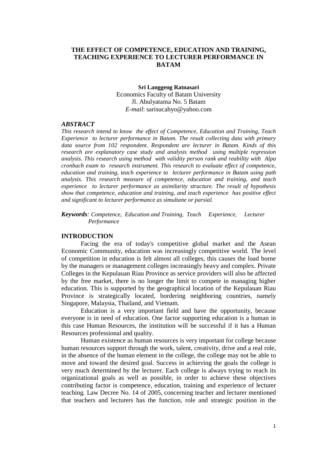# **THE EFFECT OF COMPETENCE, EDUCATION AND TRAINING, TEACHING EXPERIENCE TO LECTURER PERFORMANCE IN BATAM**

# **Sri Langgeng Ratnasari** Economics Faculty of Batam University Jl. Abulyatama No. 5 Batam *E-mail*: [sarisucahyo@yahoo.com](mailto:sarisucahyo@yahoo.com)

## *ABSTRACT*

*This research intend to know the effect of Competence, Education and Training, Teach Experience to lecturer performance in Batam. The result collecting data with primary data source from 102 respondent. Respondent are lecturer in Batam. Kinds of this research are explanatory case study and analysis method using multiple regression analysis. This research using method with validity person rank and reability with Alpa cronbach exam to research instrument. This research to evaluate effect of competence, education and training, teach experience to lecturer performance in Batam using path analysis. This research measure of competence, education and training, and teach experience to lecturer performance as asimilarity structure. The result of hypothesis show that competence, education and training, and teach experience has positive effect and significant to lecturer performance as simultane or parsial.*

*Keywords: Competence, Education and Training, Teach Experience, Lecturer Performance* 

# **INTRODUCTION**

Facing the era of today's competitive global market and the Asean Economic Community, education was increasingly competitive world. The level of competition in education is felt almost all colleges, this causes the load borne by the managers or management colleges increasingly heavy and complex. Private Colleges in the Kepulauan Riau Province as service providers will also be affected by the free market, there is no longer the limit to compete in managing higher education. This is supported by the geographical location of the Kepulauan Riau Province is strategically located, bordering neighboring countries, namely Singapore, Malaysia, Thailand, and Vietnam.

Education is a very important field and have the opportunity, because everyone is in need of education. One factor supporting education is a human in this case Human Resources, the institution will be successful if it has a Human Resources professional and quality.

Human existence as human resources is very important for college because human resources support through the work, talent, creativity, drive and a real role, in the absence of the human element in the college, the college may not be able to move and toward the desired goal. Success in achieving the goals the college is very much determined by the lecturer. Each college is always trying to reach its organizational goals as well as possible, in order to achieve these objectives contributing factor is competence, education, training and experience of lecturer teaching. Law Decree No. 14 of 2005, concerning teacher and lecturer mentioned that teachers and lecturers has the function, role and strategic position in the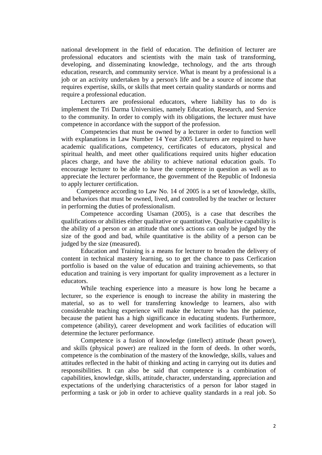national development in the field of education. The definition of lecturer are professional educators and scientists with the main task of transforming, developing, and disseminating knowledge, technology, and the arts through education, research, and community service. What is meant by a professional is a job or an activity undertaken by a person's life and be a source of income that requires expertise, skills, or skills that meet certain quality standards or norms and require a professional education.

Lecturers are professional educators, where liability has to do is implement the Tri Darma Universities, namely Education, Research, and Service to the community. In order to comply with its obligations, the lecturer must have competence in accordance with the support of the profession.

Competencies that must be owned by a lecturer in order to function well with explanations in Law Number 14 Year 2005 Lecturers are required to have academic qualifications, competency, certificates of educators, physical and spiritual health, and meet other qualifications required units higher education places charge, and have the ability to achieve national education goals. To encourage lecturer to be able to have the competence in question as well as to appreciate the lecturer performance, the government of the Republic of Indonesia to apply lecturer certification.

Competence according to Law No. 14 of 2005 is a set of knowledge, skills, and behaviors that must be owned, lived, and controlled by the teacher or lecturer in performing the duties of professionalism.

Competence according Usaman (2005), is a case that describes the qualifications or abilities either qualitative or quantitative. Qualitative capability is the ability of a person or an attitude that one's actions can only be judged by the size of the good and bad, while quantitative is the ability of a person can be judged by the size (measured).

Education and Training is a means for lecturer to broaden the delivery of content in technical mastery learning, so to get the chance to pass Cerfication portfolio is based on the value of education and training achievements, so that education and training is very important for quality improvement as a lecturer in educators.

While teaching experience into a measure is how long he became a lecturer, so the experience is enough to increase the ability in mastering the material, so as to well for transferring knowledge to learners, also with considerable teaching experience will make the lecturer who has the patience, because the patient has a high significance in educating students. Furthermore, competence (ability), career development and work facilities of education will determine the lecturer performance.

Competence is a fusion of knowledge (intellect) attitude (heart power), and skills (physical power) are realized in the form of deeds. In other words, competence is the combination of the mastery of the knowledge, skills, values and attitudes reflected in the habit of thinking and acting in carrying out its duties and responsibilities. It can also be said that competence is a combination of capabilities, knowledge, skills, attitude, character, understanding, appreciation and expectations of the underlying characteristics of a person for labor staged in performing a task or job in order to achieve quality standards in a real job. So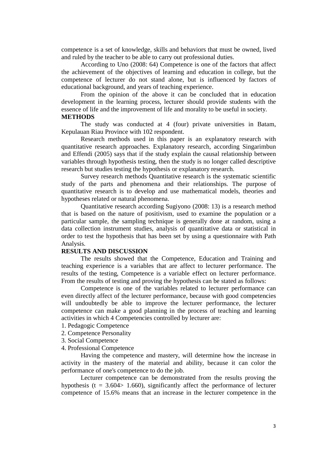competence is a set of knowledge, skills and behaviors that must be owned, lived and ruled by the teacher to be able to carry out professional duties.

According to Uno (2008: 64) Competence is one of the factors that affect the achievement of the objectives of learning and education in college, but the competence of lecturer do not stand alone, but is influenced by factors of educational background, and years of teaching experience.

From the opinion of the above it can be concluded that in education development in the learning process, lecturer should provide students with the essence of life and the improvement of life and morality to be useful in society. **METHODS** 

The study was conducted at 4 (four) private universities in Batam, Kepulauan Riau Province with 102 respondent.

Research methods used in this paper is an explanatory research with quantitative research approaches. Explanatory research, according Singarimbun and Effendi (2005) says that if the study explain the causal relationship between variables through hypothesis testing, then the study is no longer called descriptive research but studies testing the hypothesis or explanatory research.

Survey research methods Quantitative research is the systematic scientific study of the parts and phenomena and their relationships. The purpose of quantitative research is to develop and use mathematical models, theories and hypotheses related or natural phenomena.

Quantitative research according Sugiyono (2008: 13) is a research method that is based on the nature of positivism, used to examine the population or a particular sample, the sampling technique is generally done at random, using a data collection instrument studies, analysis of quantitative data or statistical in order to test the hypothesis that has been set by using a questionnaire with Path Analysis.

# **RESULTS AND DISCUSSION**

The results showed that the Competence, Education and Training and teaching experience is a variables that are affect to lecturer performance. The results of the testing, Competence is a variable effect on lecturer performance. From the results of testing and proving the hypothesis can be stated as follows:

Competence is one of the variables related to lecturer performance can even directly affect of the lecturer performance, because with good competencies will undoubtedly be able to improve the lecturer performance, the lecturer competence can make a good planning in the process of teaching and learning activities in which 4 Competencies controlled by lecturer are:

- 1. Pedagogic Competence
- 2. Competence Personality
- 3. Social Competence
- 4. Professional Competence

Having the competence and mastery, will determine how the increase in activity in the mastery of the material and ability, because it can color the performance of one's competence to do the job.

Lecturer competence can be demonstrated from the results proving the hypothesis ( $t = 3.604 > 1.660$ ), significantly affect the performance of lecturer competence of 15.6% means that an increase in the lecturer competence in the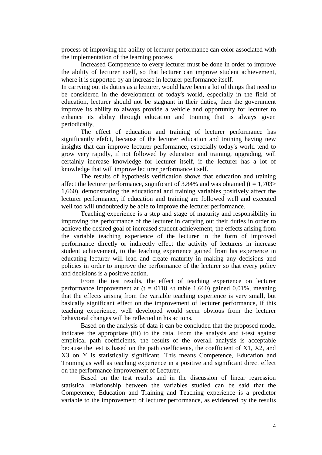process of improving the ability of lecturer performance can color associated with the implementation of the learning process.

Increased Competence to every lecturer must be done in order to improve the ability of lecturer itself, so that lecturer can improve student achievement, where it is supported by an increase in lecturer performance itself.

In carrying out its duties as a lecturer, would have been a lot of things that need to be considered in the development of today's world, especially in the field of education, lecturer should not be stagnant in their duties, then the government improve its ability to always provide a vehicle and opportunity for lecturer to enhance its ability through education and training that is always given periodically,

The effect of education and training of lecturer performance has significantly efefct, because of the lecturer education and training having new insights that can improve lecturer performance, especially today's world tend to grow very rapidly, if not followed by education and training, upgrading, will certainly increase knowledge for lecturer itself, if the lecturer has a lot of knowledge that will improve lecturer performance itself.

The results of hypothesis verification shows that education and training affect the lecturer performance, significant of 3.84% and was obtained ( $t = 1,703$ ) 1,660), demonstrating the educational and training variables positively affect the lecturer performance, if education and training are followed well and executed well too will undoubtedly be able to improve the lecturer performance.

Teaching experience is a step and stage of maturity and responsibility in improving the performance of the lecturer in carrying out their duties in order to achieve the desired goal of increased student achievement, the effects arising from the variable teaching experience of the lecturer in the form of improved performance directly or indirectly effect the activity of lecturers in increase student achievement, to the teaching experience gained from his experience in educating lecturer will lead and create maturity in making any decisions and policies in order to improve the performance of the lecturer so that every policy and decisions is a positive action.

From the test results, the effect of teaching experience on lecturer performance improvement at  $(t = 0118 < t$  table 1.660) gained 0.01%, meaning that the effects arising from the variable teaching experience is very small, but basically significant effect on the improvement of lecturer performance, if this teaching experience, well developed would seem obvious from the lecturer behavioral changes will be reflected in his actions.

Based on the analysis of data it can be concluded that the proposed model indicates the appropriate (fit) to the data. From the analysis and t-test against empirical path coefficients, the results of the overall analysis is acceptable because the test is based on the path coefficients, the coefficient of X1, X2, and X3 on Y is statistically significant. This means Competence, Education and Training as well as teaching experience in a positive and significant direct effect on the performance improvement of Lecturer.

Based on the test results and in the discussion of linear regression statistical relationship between the variables studied can be said that the Competence, Education and Training and Teaching experience is a predictor variable to the improvement of lecturer performance, as evidenced by the results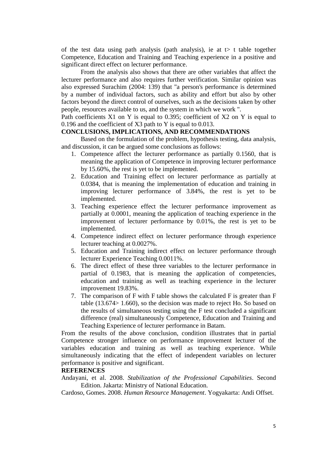of the test data using path analysis (path analysis), ie at  $t$  t table together Competence, Education and Training and Teaching experience in a positive and significant direct effect on lecturer performance.

From the analysis also shows that there are other variables that affect the lecturer performance and also requires further verification. Similar opinion was also expressed Surachim (2004: 139) that "a person's performance is determined by a number of individual factors, such as ability and effort but also by other factors beyond the direct control of ourselves, such as the decisions taken by other people, resources available to us, and the system in which we work ".

Path coefficients X1 on Y is equal to 0.395; coefficient of X2 on Y is equal to 0.196 and the coefficient of X3 path to Y is equal to 0.013.

# **CONCLUSIONS, IMPLICATIONS, AND RECOMMENDATIONS**

Based on the formulation of the problem, hypothesis testing, data analysis, and discussion, it can be argued some conclusions as follows:

- 1. Competence affect the lecturer performance as partially 0.1560, that is meaning the application of Competence in improving lecturer performance by 15.60%, the rest is yet to be implemented.
- 2. Education and Training effect on lecturer performance as partially at 0.0384, that is meaning the implementation of education and training in improving lecturer performance of 3.84%, the rest is yet to be implemented.
- 3. Teaching experience effect the lecturer performance improvement as partially at 0.0001, meaning the application of teaching experience in the improvement of lecturer performance by 0.01%, the rest is yet to be implemented.
- 4. Competence indirect effect on lecturer performance through experience lecturer teaching at 0.0027%.
- 5. Education and Training indirect effect on lecturer performance through lecturer Experience Teaching 0.0011%.
- 6. The direct effect of these three variables to the lecturer performance in partial of 0.1983, that is meaning the application of competencies, education and training as well as teaching experience in the lecturer improvement 19.83%.
- 7. The comparison of F with F table shows the calculated F is greater than F table (13.674> 1.660), so the decision was made to reject Ho. So based on the results of simultaneous testing using the F test concluded a significant difference (real) simultaneously Competence, Education and Training and Teaching Experience of lecturer performance in Batam.

From the results of the above conclusion, condition illustrates that in partial Competence stronger influence on performance improvement lecturer of the variables education and training as well as teaching experience. While simultaneously indicating that the effect of independent variables on lecturer performance is positive and significant.

# **REFERENCES**

Andayani, et al. 2008. *Stabilization of the Professional Capabilities*. Second Edition. Jakarta: Ministry of National Education.

Cardoso, Gomes. 2008. *Human Resource Management*. Yogyakarta: Andi Offset.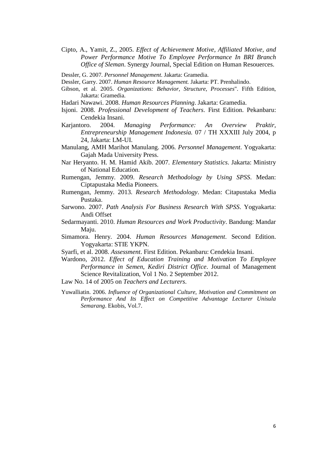- Cipto, A., Yamit, Z., 2005. *Effect of Achievement Motive, Affiliated Motive, and Power Performance Motive To Employee Performance In BRI Branch Office of Sleman*. Synergy Journal, Special Edition on Human Resouerces.
- Dessler, G. 2007. *Personnel Management*. Jakarta: Gramedia.
- Dessler, Garry. 2007. *Human Resource Management.* Jakarta: PT. Prenhalindo.
- Gibson, et al. 2005. *Organizations: Behavior, Structure, Processes*". Fifth Edition, Jakarta: Gramedia.
- Hadari Nawawi. 2008. *Human Resources Planning*. Jakarta: Gramedia.
- Isjoni. 2008. *Professional Development of Teachers*. First Edition. Pekanbaru: Cendekia Insani.
- Karjantoro. 2004. *Managing Performance: An Overview Praktir, Entrepreneurship Management Indonesia.* 07 / TH XXXIII July 2004, p 24, Jakarta: LM-UI.
- Manulang, AMH Marihot Manulang. 2006. *Personnel Management*. Yogyakarta: Gajah Mada University Press.
- Nar Heryanto. H. M. Hamid Akib. 2007. *Elementary Statistics*. Jakarta: Ministry of National Education.
- Rumengan, Jemmy. 2009. *Research Methodology by Using SPSS*. Medan: Ciptapustaka Media Pioneers.
- Rumengan, Jemmy. 2013. *Research Methodology*. Medan: Citapustaka Media Pustaka.
- Sarwono. 2007. *Path Analysis For Business Research With SPSS*. Yogyakarta: Andi Offset
- Sedarmayanti. 2010. *Human Resources and Work Productivity*. Bandung: Mandar Maju.
- Simamora. Henry. 2004. *Human Resources Management*. Second Edition. Yogyakarta: STIE YKPN.
- Syarfi, et al. 2008. *Assessment*. First Edition. Pekanbaru: Cendekia Insani.
- Wardono, 2012. *Effect of Education Training and Motivation To Employee Performance in Semen, Kediri District Office*. Journal of Management Science Revitalization, Vol 1 No. 2 September 2012.
- Law No. 14 of 2005 on *Teachers and Lecturers*.
- Yuwalliatin. 2006. *Influence of Organizational Culture, Motivation and Commitment on Performance And Its Effect on Competitive Advantage Lecturer Unisula Semarang*. Ekobis, Vol.7.